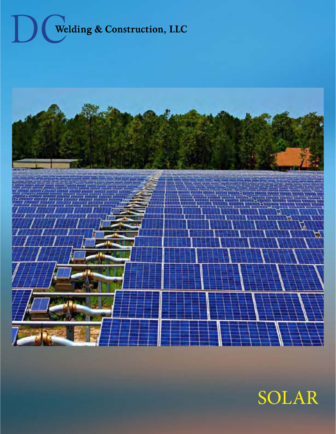



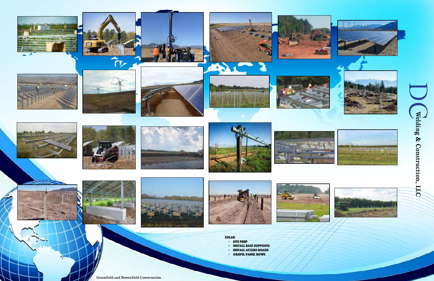**Greenfield and Brownfield Construction**

























































solar - site prep

- install base supports

- install access roads

- gravel panel rows